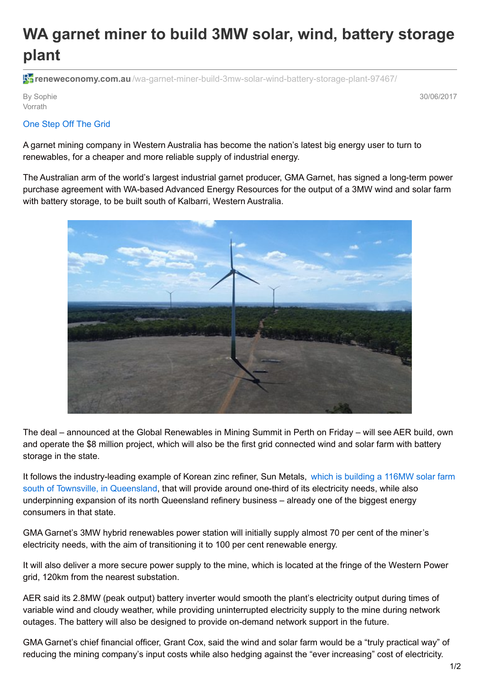## **WA garnet miner to build 3MW solar, wind, battery storage plant**

**F** reneweconomy.com.au[/wa-garnet-miner-build-3mw-solar-wind-battery-storage-plant-97467/](http://reneweconomy.com.au/wa-garnet-miner-build-3mw-solar-wind-battery-storage-plant-97467/)

By Sophie Vorrath

30/06/2017

## One [Step](https://onestepoffthegrid.com.au/) Off The Grid

A garnet mining company in Western Australia has become the nation's latest big energy user to turn to renewables, for a cheaper and more reliable supply of industrial energy.

The Australian arm of the world's largest industrial garnet producer, GMA Garnet, has signed a long-term power purchase agreement with WA-based Advanced Energy Resources for the output of a 3MW wind and solar farm with battery storage, to be built south of Kalbarri, Western Australia.



The deal – announced at the Global Renewables in Mining Summit in Perth on Friday – will see AER build, own and operate the \$8 million project, which will also be the first grid connected wind and solar farm with battery storage in the state.

It follows the [industry-leading](http://reneweconomy.com.au/sun-metals-says-new-solar-farm-will-underpin-zinc-refinery-expansion-28753/) example of Korean zinc refiner, Sun Metals, which is building a 116MW solar farm south of Townsville, in Queensland, that will provide around one-third of its electricity needs, while also underpinning expansion of its north Queensland refinery business – already one of the biggest energy consumers in that state.

GMA Garnet's 3MW hybrid renewables power station will initially supply almost 70 per cent of the miner's electricity needs, with the aim of transitioning it to 100 per cent renewable energy.

It will also deliver a more secure power supply to the mine, which is located at the fringe of the Western Power grid, 120km from the nearest substation.

AER said its 2.8MW (peak output) battery inverter would smooth the plant's electricity output during times of variable wind and cloudy weather, while providing uninterrupted electricity supply to the mine during network outages. The battery will also be designed to provide on-demand network support in the future.

GMA Garnet's chief financial officer, Grant Cox, said the wind and solar farm would be a "truly practical way" of reducing the mining company's input costs while also hedging against the "ever increasing" cost of electricity.